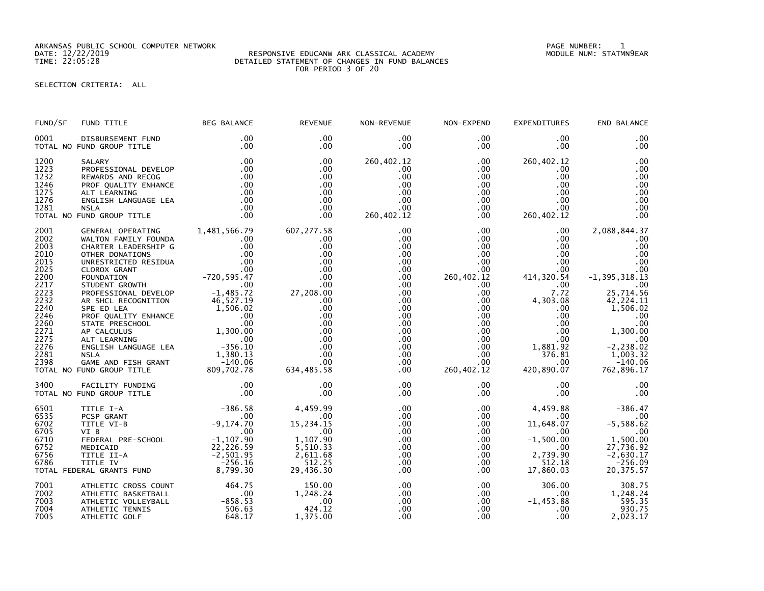ARKANSAS PUBLIC SCHOOL COMPUTER NETWORK PAGE NUMBER: 1

## DATE: 12/22/2019 RESPONSIVE EDUCANW ARK CLASSICAL ACADEMY MODULE NUM: STATMN9EAR TIME: 22:05:28 DETAILED STATEMENT OF CHANGES IN FUND BALANCES FOR PERIOD 3 OF 20

## SELECTION CRITERIA: ALL

| FUND/SF                                                                                                                                      | FUND TITLE                                                                                                                                                                                                                                                                                                                                                                                                                                   | <b>BEG BALANCE</b>                                                           | <b>REVENUE</b>                                                                                                                                               | NON-REVENUE                                                                                                                                                     | NON-EXPEND                                                                                                                                                                                               | <b>EXPENDITURES</b>                                                                                                                                                                           | END BALANCE                                                                                                                                                                                        |
|----------------------------------------------------------------------------------------------------------------------------------------------|----------------------------------------------------------------------------------------------------------------------------------------------------------------------------------------------------------------------------------------------------------------------------------------------------------------------------------------------------------------------------------------------------------------------------------------------|------------------------------------------------------------------------------|--------------------------------------------------------------------------------------------------------------------------------------------------------------|-----------------------------------------------------------------------------------------------------------------------------------------------------------------|----------------------------------------------------------------------------------------------------------------------------------------------------------------------------------------------------------|-----------------------------------------------------------------------------------------------------------------------------------------------------------------------------------------------|----------------------------------------------------------------------------------------------------------------------------------------------------------------------------------------------------|
| 0001                                                                                                                                         | DISBURSEMENT FUND<br>TOTAL NO FUND GROUP TITLE                                                                                                                                                                                                                                                                                                                                                                                               | .00<br>.00                                                                   | .00<br>$.00 \times$                                                                                                                                          | .00<br>$.00 \,$                                                                                                                                                 | $.00 \,$<br>$.00 \,$                                                                                                                                                                                     | .00<br>$.00 \,$                                                                                                                                                                               | .00<br>.00                                                                                                                                                                                         |
| 1200<br>1223<br>1232<br>1246<br>1275<br>1276<br>1281                                                                                         | SALARY<br>PROFESSIONAL DEVELOP<br>REWARDS AND RECOG<br>PROF QUALITY ENHANCE<br>ALT LEARNING<br>ENGLISH LANGUAGE LEA<br><b>NSLA</b><br>TOTAL NO FUND GROUP TITLE                                                                                                                                                                                                                                                                              | .00<br>.00<br>.00<br>.00<br>.00<br>.00<br>.00<br>.00                         | .00<br>.00<br>.00<br>.00<br>.00<br>.00<br>.00<br>.00                                                                                                         | 260,402.12<br>.00<br>.00<br>.00<br>$.00 \,$<br>.00<br>.00<br>260,402.12                                                                                         | $.00 \,$<br>$.00 \,$<br>$.00 \,$<br>.00 <sub>1</sub><br>$.00\,$<br>$.00\,$<br>$.00 \,$<br>$.00 \cdot$                                                                                                    | 260,402.12<br>$.00 \,$<br>$.00 \,$<br>$.00 \,$<br>$.00 \,$<br>$.00 \,$<br>$.00 \,$<br>260,402.12                                                                                              | .00<br>.00<br>$.00$<br>$.00$<br>.00<br>.00<br>$\overline{00}$<br>$\overline{00}$                                                                                                                   |
| 2001<br>2002<br>2003<br>2010<br>2015<br>2025<br>2200<br>2217<br>2223<br>2232<br>2240<br>2246<br>2260<br>2271<br>2275<br>2276<br>2281<br>2398 | GENERAL OPERATING 1,481,566.79<br>WALTON FAMILY FOUNDA<br>CHARTER LEADERSHIP G<br>OTHER DONATIONS<br>PROFESSIONAL DEVELOP<br>AR SHCL RECOGNITION<br>SPE ED LEA $\begin{array}{c} 1,506.02 \\ \text{PROF QUALITY ENHANCE} \end{array}$ .00 STATE PRESCHOOL .00<br>STATE PRESCHOOL<br>AP CALCULUS 1,300.00<br>ALT LEARNING 00<br>ENGLISH LANGUAGE LEA -356.10<br>NSLA 1,380.13<br>1,380.13<br>GAME AND FISH GRANT<br>TOTAL NO FUND GROUP TITLE | $.00 \,$<br>.00<br>.00<br>-1,485.72<br>46,527.19<br>$-140.06$<br>809, 702.78 | 607,277.58<br>.00<br>.00<br>.00<br>.00<br>.00<br>.00<br>.00<br>00.<br>27,208.00<br>.00<br>.00<br>.00<br>.00<br>.00<br>.00<br>.00<br>.00<br>.00<br>634,485.58 | .00<br>.00<br>.00<br>.00<br>.00<br>.00<br>.00<br>.00<br>.00<br>$.00 \,$<br>$.00 \,$<br>.00<br>$.00 \,$<br>$.00 \,$<br>.00<br>$.00 \,$<br>$.00 \,$<br>.00<br>.00 | $.00 \,$<br>$.00\,$<br>$.00\,$<br>$.00\,$<br>.00<br>.00 <sub>1</sub><br>260,402.12<br>$.00 \,$<br>.00<br>$.00\,$<br>$.00\,$<br>$.00\,$<br>.00<br>.00<br>.00<br>$.00 \,$<br>$.00 \,$<br>.00<br>260,402.12 | .00<br>$.00 \,$<br>$.00 \,$<br>$.00 \,$<br>.00.<br>.00<br>414, 320.54<br>.00<br>7.72<br>4,303.08<br>$.00 \,$<br>$.00 \,$<br>.00<br>.00<br>.00<br>1,881.92<br>376.81<br>$.00 \,$<br>420,890.07 | 2,088,844.37<br>.00<br>.00<br>.00<br>.00<br>.00<br>$-1, 395, 318.13$<br>.00<br>25,714.56<br>42,224.11<br>1,506.02<br>.00<br>.00<br>1,300.00<br>$-2, 238.02$<br>1,003.32<br>$-140.06$<br>762,896.17 |
| 3400                                                                                                                                         | FACILITY FUNDING<br>TOTAL NO FUND GROUP TITLE                                                                                                                                                                                                                                                                                                                                                                                                | .00<br>.00                                                                   | .00<br>.00                                                                                                                                                   | .00<br>.00                                                                                                                                                      | $.00 \,$<br>.00                                                                                                                                                                                          | $.00 \,$<br>$.00 \,$                                                                                                                                                                          |                                                                                                                                                                                                    |
| 6501<br>6535<br>6702<br>6705<br>6710<br>6752<br>6756<br>6786                                                                                 | TITLE I-A<br>PCSP GRANT<br>TITLE VI-B<br>VI B<br>VI B<br>FEDERAL PRE-SCHOOL -1,107.90<br>MEDICAID 22,226.59<br>TITLE II-A -2,501.95<br>TITLE IV -256.16<br>ERAL GRANTS FUND 8,799.30<br>TOTAL FEDERAL GRANTS FUND                                                                                                                                                                                                                            | $-386.58$<br>$-9,174.70$                                                     | 4,459.99<br>.00<br>15,234.15<br>$\sim$ 00<br>1,107.90<br>5,510.33<br>2,611.68<br>512.25<br>29,436.30                                                         | $.00 \,$<br>.00<br>$.00 \,$<br>.00<br>.00<br>$.00 \,$<br>$.00 \,$<br>$.00 \,$<br>.00                                                                            | $.00 \,$<br>.00 <sub>1</sub><br>$.00 \,$<br>.00<br>$.00 \ \,$<br>$.00 \cdot$<br>$.00 \cdot$<br>$.00 \cdot$<br>$.00 \,$                                                                                   | 4,459.88<br>$.00 \,$<br>11,648.07<br>$.00 \,$<br>$-1,500.00$<br>$.00 \,$<br>2,739.90<br>512.18<br>17,860.03                                                                                   | $-386.47$<br>.00<br>$-5,588.62$<br>$\sim$ .00<br>1,500.00<br>27,736.92<br>$-2,630.17$<br>$-256.09$<br>20,375.57                                                                                    |
| 7001<br>7002<br>7003<br>7004<br>7005                                                                                                         | ATHLETIC CROSS COUNT<br>ATHLETIC BASKETBALL<br>ATHLETIC VOLLEYBALL<br>ATHLETIC TENNIS<br>ATHLETIC GOLF                                                                                                                                                                                                                                                                                                                                       | 464.75<br>00.<br>858.53-<br>506.63<br>648.17                                 | 150.00<br>1,248.24<br>$.00 \times$<br>424.12<br>1,375.00                                                                                                     | .00<br>.00<br>.00<br>.00<br>.00                                                                                                                                 | $.00 \,$<br>$.00\,$<br>.00 <sub>1</sub><br>.00<br>.00 <sub>1</sub>                                                                                                                                       | 306.00<br>.00<br>$-1,453.88$<br>$.00 \,$<br>.00                                                                                                                                               | 308.75<br>1,248.24<br>595.35<br>930.75<br>2,023.17                                                                                                                                                 |